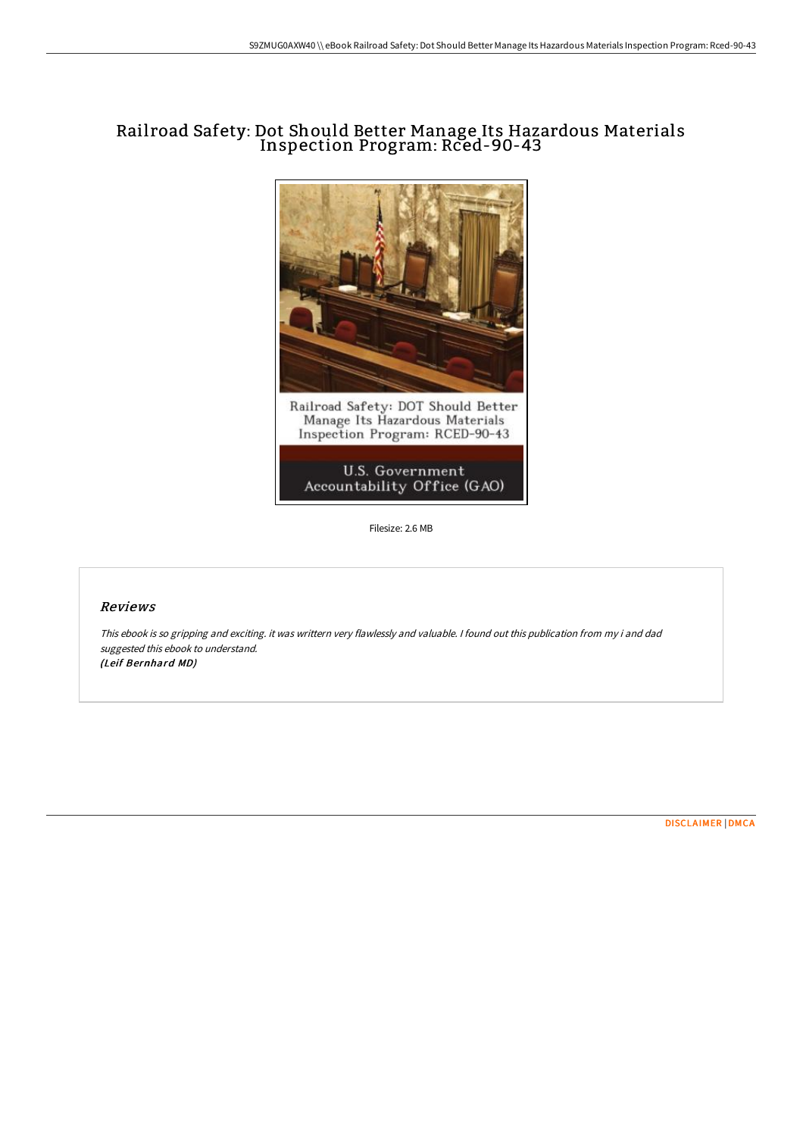## Rail road Safety: Dot Should Better Manage Its Hazardous Materials Inspection Program: Rced-90-43



Filesize: 2.6 MB

## Reviews

This ebook is so gripping and exciting. it was writtern very flawlessly and valuable. <sup>I</sup> found out this publication from my i and dad suggested this ebook to understand. (Leif Bernhard MD)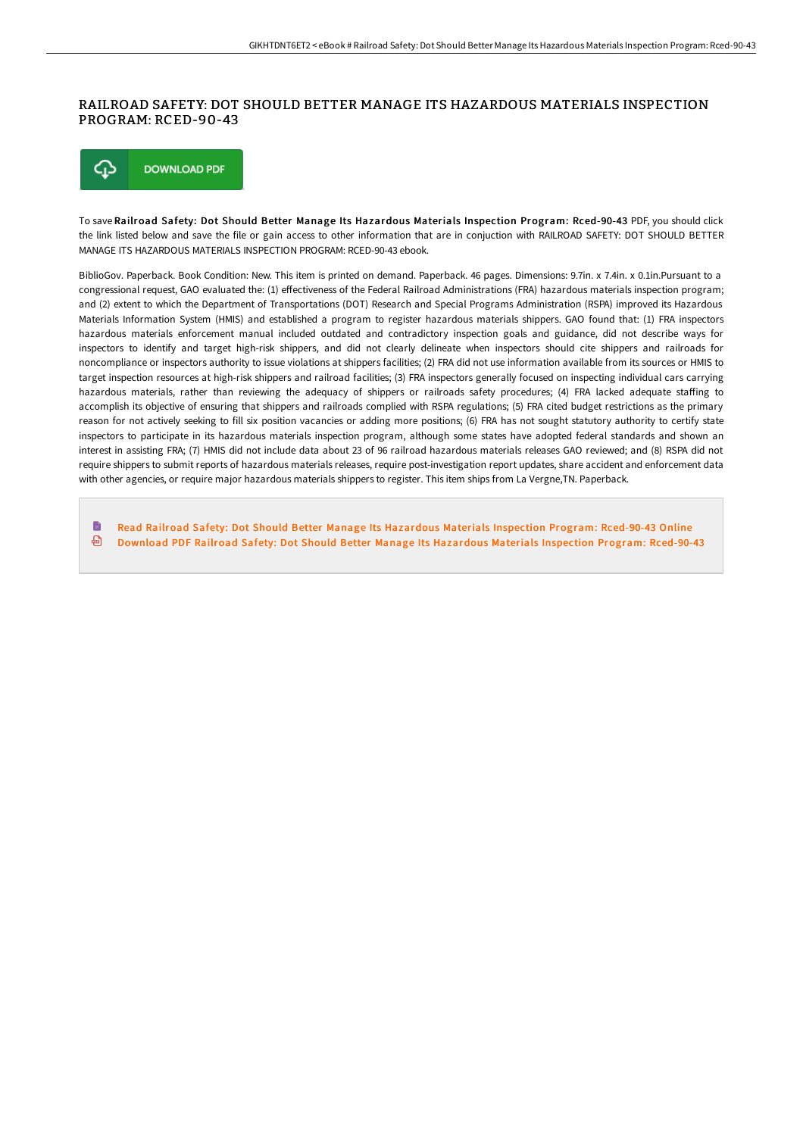## RAILROAD SAFETY: DOT SHOULD BETTER MANAGE ITS HAZARDOUS MATERIALS INSPECTION PROGRAM: RCED-90-43



To save Railroad Safety: Dot Should Better Manage Its Hazardous Materials Inspection Program: Rced-90-43 PDF, you should click the link listed below and save the file or gain access to other information that are in conjuction with RAILROAD SAFETY: DOT SHOULD BETTER MANAGE ITS HAZARDOUS MATERIALS INSPECTION PROGRAM: RCED-90-43 ebook.

BiblioGov. Paperback. Book Condition: New. This item is printed on demand. Paperback. 46 pages. Dimensions: 9.7in. x 7.4in. x 0.1in.Pursuant to a congressional request, GAO evaluated the: (1) effectiveness of the Federal Railroad Administrations (FRA) hazardous materials inspection program; and (2) extent to which the Department of Transportations (DOT) Research and Special Programs Administration (RSPA) improved its Hazardous Materials Information System (HMIS) and established a program to register hazardous materials shippers. GAO found that: (1) FRA inspectors hazardous materials enforcement manual included outdated and contradictory inspection goals and guidance, did not describe ways for inspectors to identify and target high-risk shippers, and did not clearly delineate when inspectors should cite shippers and railroads for noncompliance or inspectors authority to issue violations at shippers facilities; (2) FRA did not use information available from its sources or HMIS to target inspection resources at high-risk shippers and railroad facilities; (3) FRA inspectors generally focused on inspecting individual cars carrying hazardous materials, rather than reviewing the adequacy of shippers or railroads safety procedures; (4) FRA lacked adequate staffing to accomplish its objective of ensuring that shippers and railroads complied with RSPA regulations; (5) FRA cited budget restrictions as the primary reason for not actively seeking to fill six position vacancies or adding more positions; (6) FRA has not sought statutory authority to certify state inspectors to participate in its hazardous materials inspection program, although some states have adopted federal standards and shown an interest in assisting FRA; (7) HMIS did not include data about 23 of 96 railroad hazardous materials releases GAO reviewed; and (8) RSPA did not require shippers to submit reports of hazardous materials releases, require post-investigation report updates, share accident and enforcement data with other agencies, or require major hazardous materials shippers to register. This item ships from La Vergne,TN. Paperback.

Read Railroad Safety: Dot Should Better Manage Its Hazardous Materials Inspection Program: [Rced-90-43](http://techno-pub.tech/railroad-safety-dot-should-better-manage-its-haz.html) Online 副 Download PDF Railroad Safety: Dot Should Better Manage Its [Hazardous](http://techno-pub.tech/railroad-safety-dot-should-better-manage-its-haz.html) Materials Inspection Program: Rced-90-43